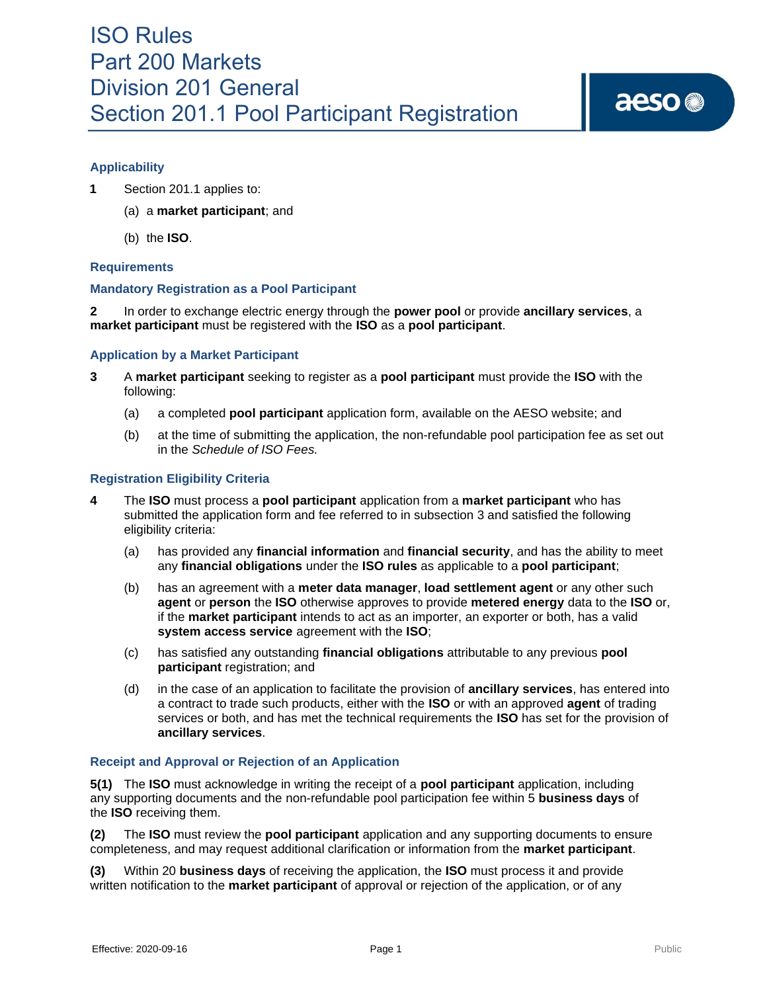# **Applicability**

- **1** Section 201.1 applies to:
	- (a) a **market participant**; and
	- (b) the **ISO**.

## **Requirements**

## **Mandatory Registration as a Pool Participant**

**2** In order to exchange electric energy through the **power pool** or provide **ancillary services**, a **market participant** must be registered with the **ISO** as a **pool participant**.

## **Application by a Market Participant**

- **3** A **market participant** seeking to register as a **pool participant** must provide the **ISO** with the following:
	- (a) a completed **pool participant** application form, available on the AESO website; and
	- (b) at the time of submitting the application, the non-refundable pool participation fee as set out in the *Schedule of ISO Fees.*

## **Registration Eligibility Criteria**

- **4** The **ISO** must process a **pool participant** application from a **market participant** who has submitted the application form and fee referred to in subsection 3 and satisfied the following eligibility criteria:
	- (a) has provided any **financial information** and **financial security**, and has the ability to meet any **financial obligations** under the **ISO rules** as applicable to a **pool participant**;
	- (b) has an agreement with a **meter data manager**, **load settlement agent** or any other such **agent** or **person** the **ISO** otherwise approves to provide **metered energy** data to the **ISO** or, if the **market participant** intends to act as an importer, an exporter or both, has a valid **system access service** agreement with the **ISO**;
	- (c) has satisfied any outstanding **financial obligations** attributable to any previous **pool participant** registration; and
	- (d) in the case of an application to facilitate the provision of **ancillary services**, has entered into a contract to trade such products, either with the **ISO** or with an approved **agent** of trading services or both, and has met the technical requirements the **ISO** has set for the provision of **ancillary services**.

#### **Receipt and Approval or Rejection of an Application**

**5(1)** The **ISO** must acknowledge in writing the receipt of a **pool participant** application, including any supporting documents and the non-refundable pool participation fee within 5 **business days** of the **ISO** receiving them.

**(2)** The **ISO** must review the **pool participant** application and any supporting documents to ensure completeness, and may request additional clarification or information from the **market participant**.

**(3)** Within 20 **business days** of receiving the application, the **ISO** must process it and provide written notification to the **market participant** of approval or rejection of the application, or of any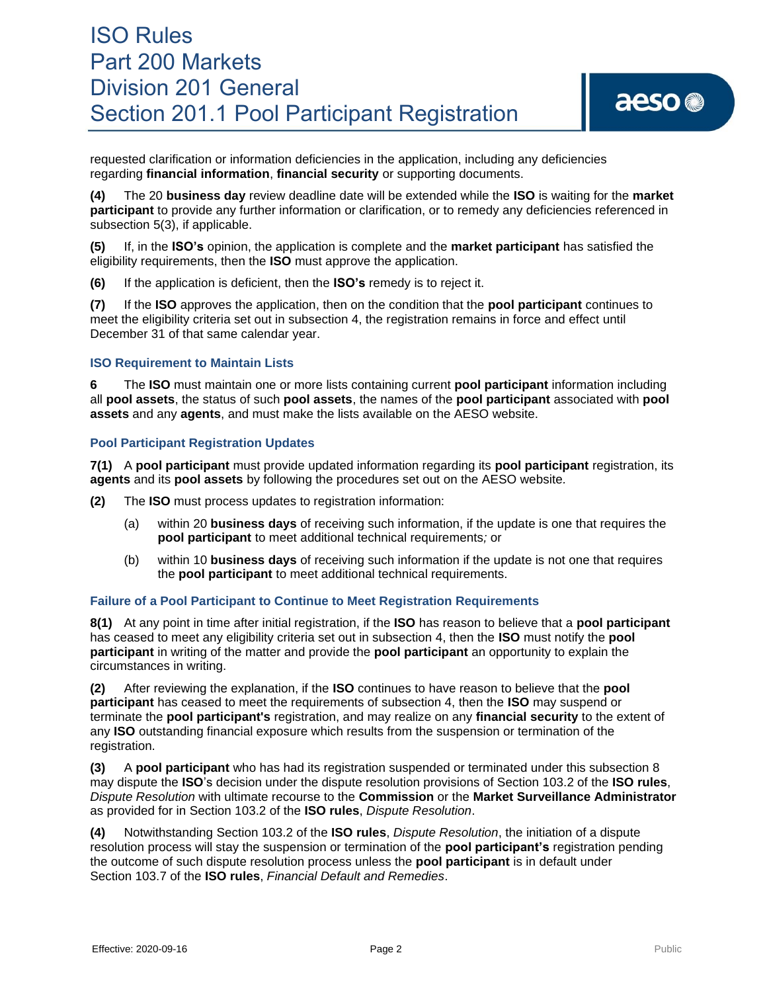requested clarification or information deficiencies in the application, including any deficiencies regarding **financial information**, **financial security** or supporting documents.

**(4)** The 20 **business day** review deadline date will be extended while the **ISO** is waiting for the **market participant** to provide any further information or clarification, or to remedy any deficiencies referenced in subsection 5(3), if applicable.

**(5)** If, in the **ISO's** opinion, the application is complete and the **market participant** has satisfied the eligibility requirements, then the **ISO** must approve the application.

**(6)** If the application is deficient, then the **ISO's** remedy is to reject it.

**(7)** If the **ISO** approves the application, then on the condition that the **pool participant** continues to meet the eligibility criteria set out in subsection 4, the registration remains in force and effect until December 31 of that same calendar year.

## **ISO Requirement to Maintain Lists**

**6** The **ISO** must maintain one or more lists containing current **pool participant** information including all **pool assets**, the status of such **pool assets**, the names of the **pool participant** associated with **pool assets** and any **agents**, and must make the lists available on the AESO website.

## **Pool Participant Registration Updates**

**7(1)** A **pool participant** must provide updated information regarding its **pool participant** registration, its **agents** and its **pool assets** by following the procedures set out on the AESO website*.*

**(2)** The **ISO** must process updates to registration information:

- (a) within 20 **business days** of receiving such information, if the update is one that requires the **pool participant** to meet additional technical requirements*;* or
- (b) within 10 **business days** of receiving such information if the update is not one that requires the **pool participant** to meet additional technical requirements.

## **Failure of a Pool Participant to Continue to Meet Registration Requirements**

**8(1)** At any point in time after initial registration, if the **ISO** has reason to believe that a **pool participant** has ceased to meet any eligibility criteria set out in subsection 4, then the **ISO** must notify the **pool participant** in writing of the matter and provide the **pool participant** an opportunity to explain the circumstances in writing.

**(2)** After reviewing the explanation, if the **ISO** continues to have reason to believe that the **pool participant** has ceased to meet the requirements of subsection 4, then the **ISO** may suspend or terminate the **pool participant's** registration, and may realize on any **financial security** to the extent of any **ISO** outstanding financial exposure which results from the suspension or termination of the registration.

**(3)** A **pool participant** who has had its registration suspended or terminated under this subsection 8 may dispute the **ISO**'s decision under the dispute resolution provisions of Section 103.2 of the **ISO rules**, *Dispute Resolution* with ultimate recourse to the **Commission** or the **Market Surveillance Administrator**  as provided for in Section 103.2 of the **ISO rules**, *Dispute Resolution*.

**(4)** Notwithstanding Section 103.2 of the **ISO rules**, *Dispute Resolution*, the initiation of a dispute resolution process will stay the suspension or termination of the **pool participant's** registration pending the outcome of such dispute resolution process unless the **pool participant** is in default under Section 103.7 of the **ISO rules**, *Financial Default and Remedies*.